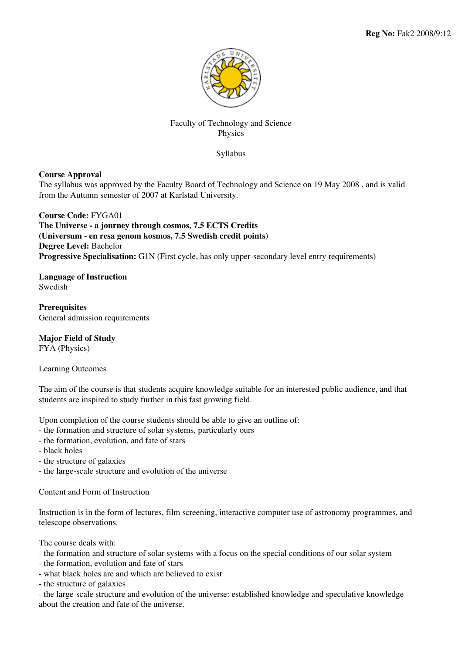

# Faculty of Technology and Science Physics

Syllabus

## **Course Approval**

The syllabus was approved by the Faculty Board of Technology and Science on 19 May 2008 , and is valid from the Autumn semester of 2007 at Karlstad University.

**Course Code:** FYGA01 **The Universe - a journey through cosmos, 7.5 ECTS Credits (Universum - en resa genom kosmos, 7.5 Swedish credit points) Degree Level:** Bachelor **Progressive Specialisation:** G1N (First cycle, has only upper-secondary level entry requirements)

**Language of Instruction Swedish** 

**Prerequisites** General admission requirements

**Major Field of Study**

FYA (Physics)

Learning Outcomes

The aim of the course is that students acquire knowledge suitable for an interested public audience, and that students are inspired to study further in this fast growing field.

Upon completion of the course students should be able to give an outline of:

- the formation and structure of solar systems, particularly ours
- the formation, evolution, and fate of stars
- black holes
- the structure of galaxies
- the large-scale structure and evolution of the universe

Content and Form of Instruction

Instruction is in the form of lectures, film screening, interactive computer use of astronomy programmes, and telescope observations.

The course deals with:

- the formation and structure of solar systems with a focus on the special conditions of our solar system
- the formation, evolution and fate of stars
- what black holes are and which are believed to exist

- the structure of galaxies

- the large-scale structure and evolution of the universe: established knowledge and speculative knowledge about the creation and fate of the universe.